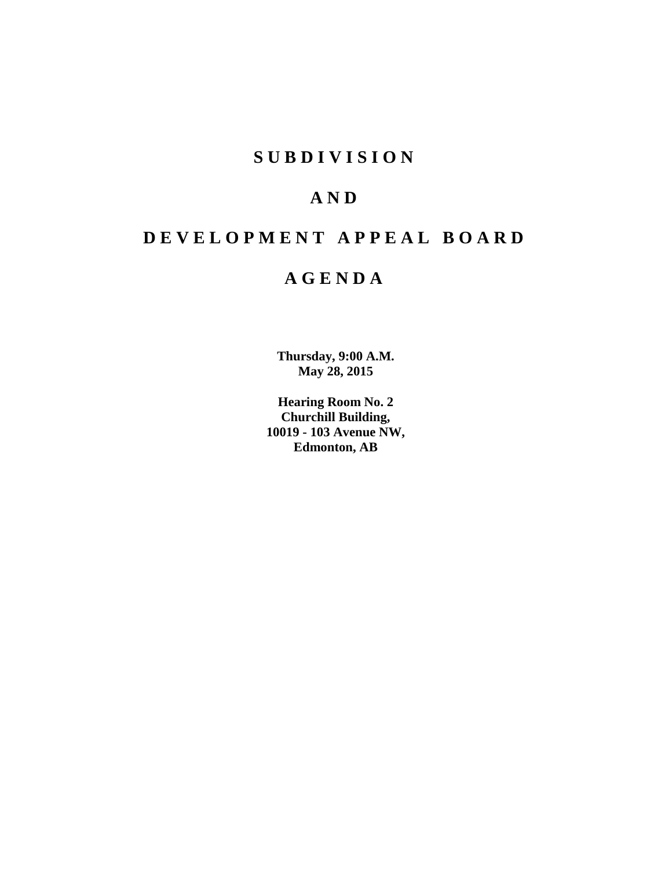## **S U B D I V I S I O N**

## **A N D**

## **D E V E L O P M E N T A P P E A L B O A R D**

## **A G E N D A**

**Thursday, 9:00 A.M. May 28, 2015**

**Hearing Room No. 2 Churchill Building, 10019 - 103 Avenue NW, Edmonton, AB**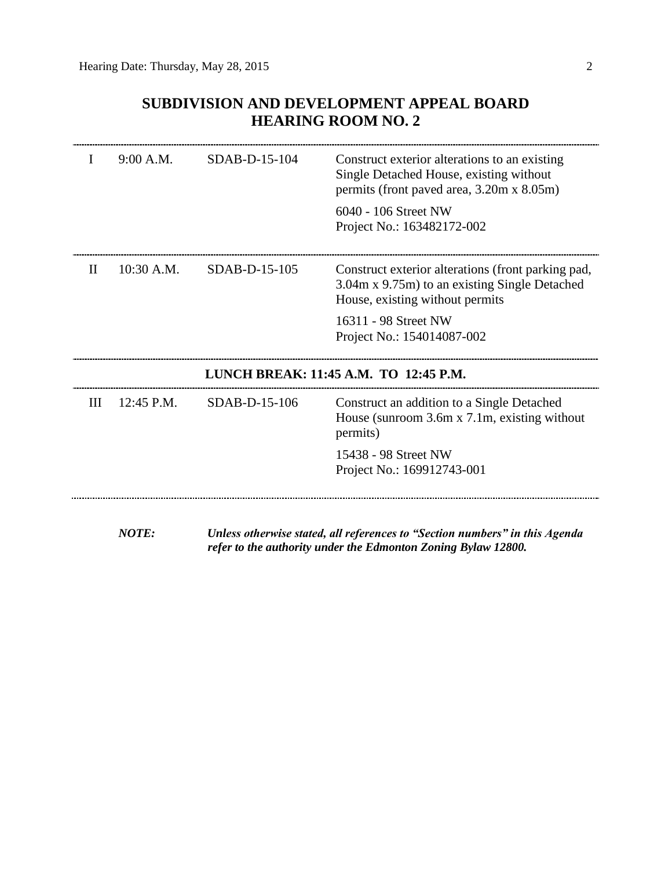## **SUBDIVISION AND DEVELOPMENT APPEAL BOARD HEARING ROOM NO. 2**

| Ι. | 9:00 A.M.    | SDAB-D-15-104   | Construct exterior alterations to an existing<br>Single Detached House, existing without<br>permits (front paved area, 3.20m x 8.05m)  |
|----|--------------|-----------------|----------------------------------------------------------------------------------------------------------------------------------------|
|    |              |                 | 6040 - 106 Street NW<br>Project No.: 163482172-002                                                                                     |
| H  | $10:30$ A.M. | $SDAB-D-15-105$ | Construct exterior alterations (front parking pad,<br>3.04m x 9.75m) to an existing Single Detached<br>House, existing without permits |
|    |              |                 | 16311 - 98 Street NW<br>Project No.: 154014087-002                                                                                     |
|    |              |                 | LUNCH BREAK: 11:45 A.M. TO 12:45 P.M.                                                                                                  |
| Ш  | 12:45 P.M.   | SDAB-D-15-106   | Construct an addition to a Single Detached<br>House (sunroom 3.6m x 7.1m, existing without<br>permits)                                 |
|    |              |                 | 15438 - 98 Street NW<br>Project No.: 169912743-001                                                                                     |
|    |              |                 |                                                                                                                                        |

*refer to the authority under the Edmonton Zoning Bylaw 12800.*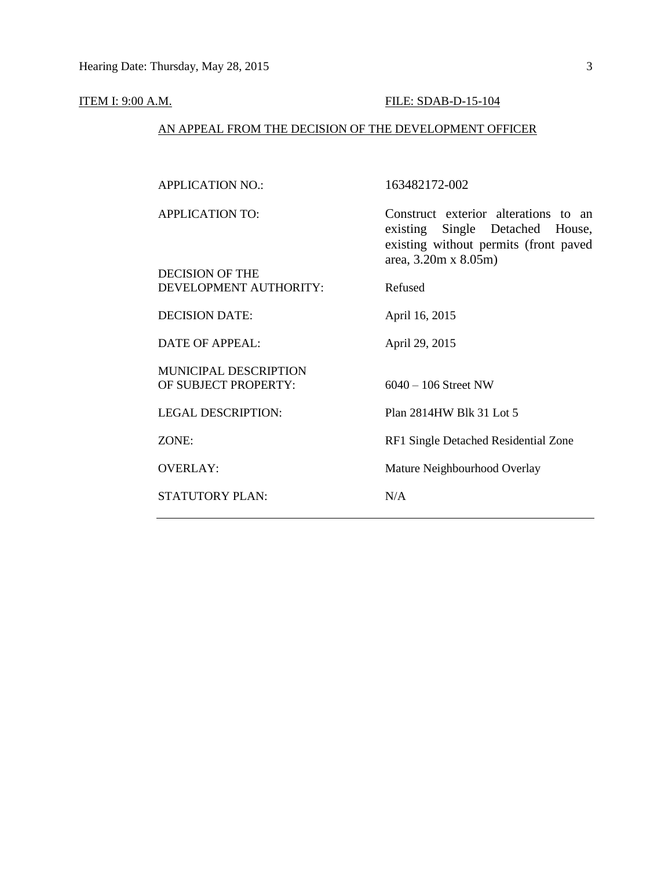## **ITEM I: 9:00 A.M. FILE: SDAB-D-15-104**

## AN APPEAL FROM THE DECISION OF THE DEVELOPMENT OFFICER

| <b>APPLICATION NO.:</b>                              | 163482172-002                                                                                                                                    |
|------------------------------------------------------|--------------------------------------------------------------------------------------------------------------------------------------------------|
| <b>APPLICATION TO:</b><br>DECISION OF THE            | Construct exterior alterations to an<br>existing Single Detached House,<br>existing without permits (front paved<br>area, $3.20m \times 8.05m$ ) |
| DEVELOPMENT AUTHORITY:                               | Refused                                                                                                                                          |
| <b>DECISION DATE:</b>                                | April 16, 2015                                                                                                                                   |
| <b>DATE OF APPEAL:</b>                               | April 29, 2015                                                                                                                                   |
| <b>MUNICIPAL DESCRIPTION</b><br>OF SUBJECT PROPERTY: | $6040 - 106$ Street NW                                                                                                                           |
| <b>LEGAL DESCRIPTION:</b>                            | Plan 2814HW Blk 31 Lot 5                                                                                                                         |
| ZONE:                                                | RF1 Single Detached Residential Zone                                                                                                             |
| <b>OVERLAY:</b>                                      | Mature Neighbourhood Overlay                                                                                                                     |
| <b>STATUTORY PLAN:</b>                               | N/A                                                                                                                                              |
|                                                      |                                                                                                                                                  |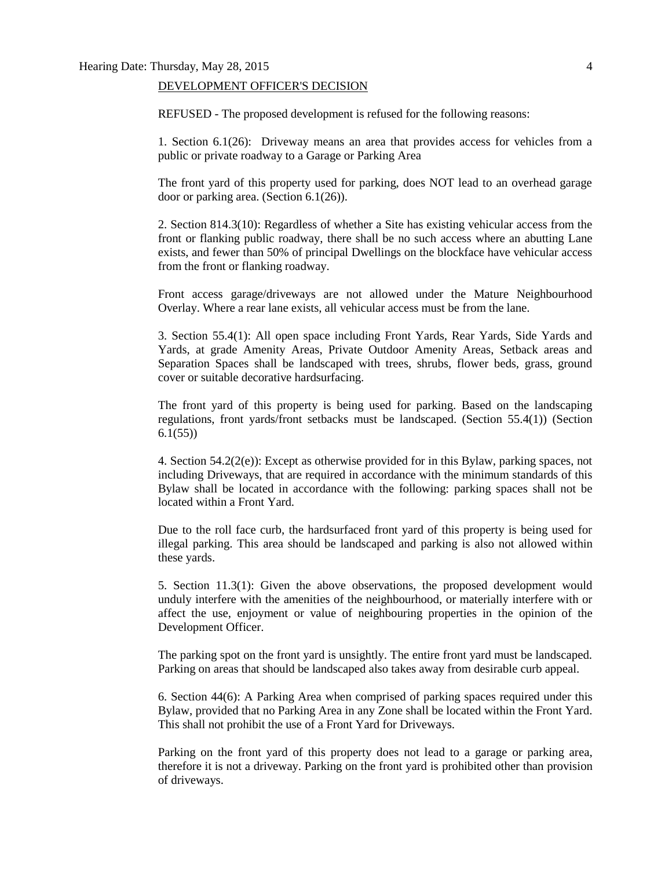#### DEVELOPMENT OFFICER'S DECISION

REFUSED - The proposed development is refused for the following reasons:

1. Section 6.1(26): Driveway means an area that provides access for vehicles from a public or private roadway to a Garage or Parking Area

The front yard of this property used for parking, does NOT lead to an overhead garage door or parking area. (Section 6.1(26)).

2. Section 814.3(10): Regardless of whether a Site has existing vehicular access from the front or flanking public roadway, there shall be no such access where an abutting Lane exists, and fewer than 50% of principal Dwellings on the blockface have vehicular access from the front or flanking roadway.

Front access garage/driveways are not allowed under the Mature Neighbourhood Overlay. Where a rear lane exists, all vehicular access must be from the lane.

3. Section 55.4(1): All open space including Front Yards, Rear Yards, Side Yards and Yards, at grade Amenity Areas, Private Outdoor Amenity Areas, Setback areas and Separation Spaces shall be landscaped with trees, shrubs, flower beds, grass, ground cover or suitable decorative hardsurfacing.

The front yard of this property is being used for parking. Based on the landscaping regulations, front yards/front setbacks must be landscaped. (Section 55.4(1)) (Section 6.1(55))

4. Section 54.2(2(e)): Except as otherwise provided for in this Bylaw, parking spaces, not including Driveways, that are required in accordance with the minimum standards of this Bylaw shall be located in accordance with the following: parking spaces shall not be located within a Front Yard.

Due to the roll face curb, the hardsurfaced front yard of this property is being used for illegal parking. This area should be landscaped and parking is also not allowed within these yards.

5. Section 11.3(1): Given the above observations, the proposed development would unduly interfere with the amenities of the neighbourhood, or materially interfere with or affect the use, enjoyment or value of neighbouring properties in the opinion of the Development Officer.

The parking spot on the front yard is unsightly. The entire front yard must be landscaped. Parking on areas that should be landscaped also takes away from desirable curb appeal.

6. Section 44(6): A Parking Area when comprised of parking spaces required under this Bylaw, provided that no Parking Area in any Zone shall be located within the Front Yard. This shall not prohibit the use of a Front Yard for Driveways.

Parking on the front yard of this property does not lead to a garage or parking area, therefore it is not a driveway. Parking on the front yard is prohibited other than provision of driveways.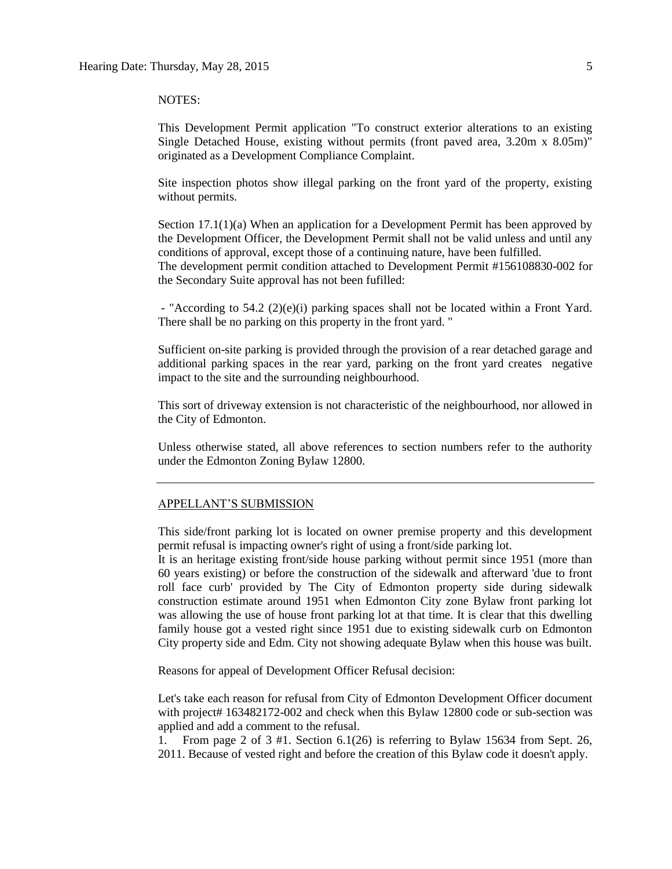#### NOTES:

This Development Permit application "To construct exterior alterations to an existing Single Detached House, existing without permits (front paved area, 3.20m x 8.05m)" originated as a Development Compliance Complaint.

Site inspection photos show illegal parking on the front yard of the property, existing without permits.

Section 17.1(1)(a) When an application for a Development Permit has been approved by the Development Officer, the Development Permit shall not be valid unless and until any conditions of approval, except those of a continuing nature, have been fulfilled. The development permit condition attached to Development Permit #156108830-002 for the Secondary Suite approval has not been fufilled:

- "According to 54.2 (2)(e)(i) parking spaces shall not be located within a Front Yard. There shall be no parking on this property in the front yard. "

Sufficient on-site parking is provided through the provision of a rear detached garage and additional parking spaces in the rear yard, parking on the front yard creates negative impact to the site and the surrounding neighbourhood.

This sort of driveway extension is not characteristic of the neighbourhood, nor allowed in the City of Edmonton.

Unless otherwise stated, all above references to section numbers refer to the authority under the Edmonton Zoning Bylaw 12800.

#### APPELLANT'S SUBMISSION

This side/front parking lot is located on owner premise property and this development permit refusal is impacting owner's right of using a front/side parking lot.

It is an heritage existing front/side house parking without permit since 1951 (more than 60 years existing) or before the construction of the sidewalk and afterward 'due to front roll face curb' provided by The City of Edmonton property side during sidewalk construction estimate around 1951 when Edmonton City zone Bylaw front parking lot was allowing the use of house front parking lot at that time. It is clear that this dwelling family house got a vested right since 1951 due to existing sidewalk curb on Edmonton City property side and Edm. City not showing adequate Bylaw when this house was built.

Reasons for appeal of Development Officer Refusal decision:

Let's take each reason for refusal from City of Edmonton Development Officer document with project# 163482172-002 and check when this Bylaw 12800 code or sub-section was applied and add a comment to the refusal.

1. From page 2 of 3 #1. Section 6.1(26) is referring to Bylaw 15634 from Sept. 26, 2011. Because of vested right and before the creation of this Bylaw code it doesn't apply.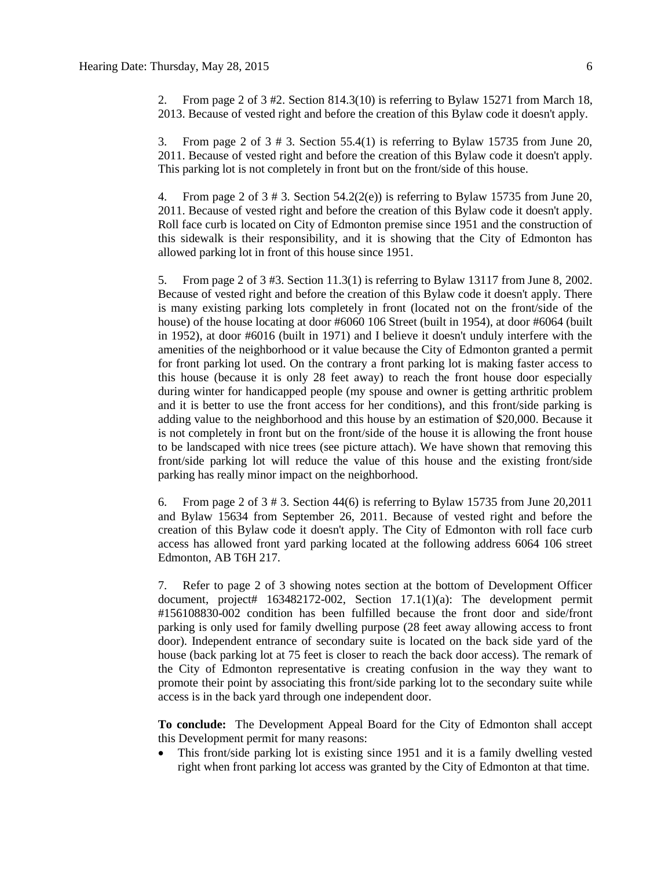2. From page 2 of 3 #2. Section 814.3(10) is referring to Bylaw 15271 from March 18, 2013. Because of vested right and before the creation of this Bylaw code it doesn't apply.

3. From page 2 of 3 # 3. Section 55.4(1) is referring to Bylaw 15735 from June 20, 2011. Because of vested right and before the creation of this Bylaw code it doesn't apply. This parking lot is not completely in front but on the front/side of this house.

4. From page 2 of  $3 \# 3$ . Section  $54.2(2(e))$  is referring to Bylaw 15735 from June 20, 2011. Because of vested right and before the creation of this Bylaw code it doesn't apply. Roll face curb is located on City of Edmonton premise since 1951 and the construction of this sidewalk is their responsibility, and it is showing that the City of Edmonton has allowed parking lot in front of this house since 1951.

5. From page 2 of 3 #3. Section 11.3(1) is referring to Bylaw 13117 from June 8, 2002. Because of vested right and before the creation of this Bylaw code it doesn't apply. There is many existing parking lots completely in front (located not on the front/side of the house) of the house locating at door #6060 106 Street (built in 1954), at door #6064 (built in 1952), at door #6016 (built in 1971) and I believe it doesn't unduly interfere with the amenities of the neighborhood or it value because the City of Edmonton granted a permit for front parking lot used. On the contrary a front parking lot is making faster access to this house (because it is only 28 feet away) to reach the front house door especially during winter for handicapped people (my spouse and owner is getting arthritic problem and it is better to use the front access for her conditions), and this front/side parking is adding value to the neighborhood and this house by an estimation of \$20,000. Because it is not completely in front but on the front/side of the house it is allowing the front house to be landscaped with nice trees (see picture attach). We have shown that removing this front/side parking lot will reduce the value of this house and the existing front/side parking has really minor impact on the neighborhood.

6. From page 2 of  $3 \# 3$ . Section 44(6) is referring to Bylaw 15735 from June 20,2011 and Bylaw 15634 from September 26, 2011. Because of vested right and before the creation of this Bylaw code it doesn't apply. The City of Edmonton with roll face curb access has allowed front yard parking located at the following address 6064 106 street Edmonton, AB T6H 217.

7. Refer to page 2 of 3 showing notes section at the bottom of Development Officer document, project# 163482172-002, Section 17.1(1)(a): The development permit #156108830-002 condition has been fulfilled because the front door and side/front parking is only used for family dwelling purpose (28 feet away allowing access to front door). Independent entrance of secondary suite is located on the back side yard of the house (back parking lot at 75 feet is closer to reach the back door access). The remark of the City of Edmonton representative is creating confusion in the way they want to promote their point by associating this front/side parking lot to the secondary suite while access is in the back yard through one independent door.

**To conclude:** The Development Appeal Board for the City of Edmonton shall accept this Development permit for many reasons:

 This front/side parking lot is existing since 1951 and it is a family dwelling vested right when front parking lot access was granted by the City of Edmonton at that time.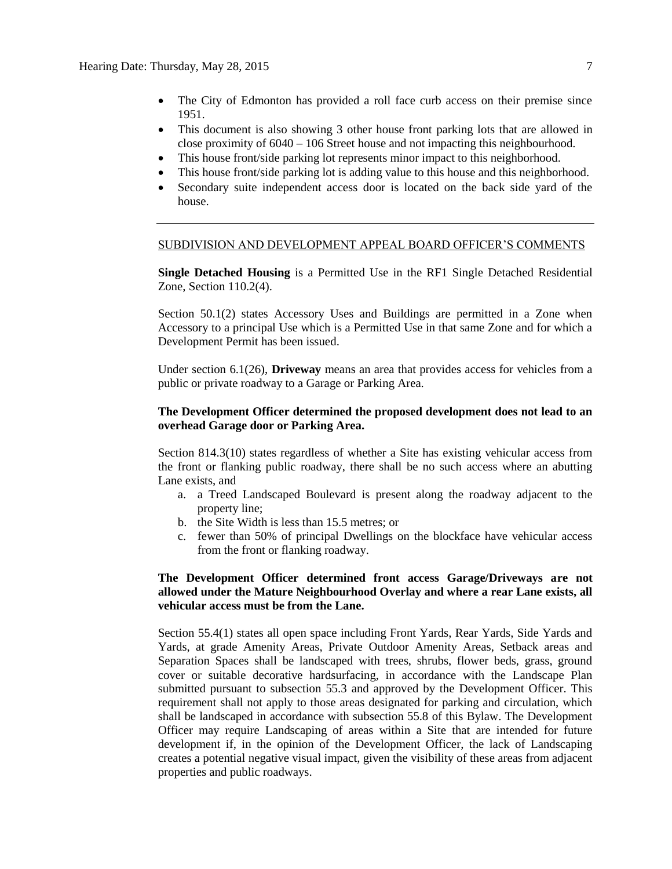- The City of Edmonton has provided a roll face curb access on their premise since 1951.
- This document is also showing 3 other house front parking lots that are allowed in close proximity of 6040 – 106 Street house and not impacting this neighbourhood.
- This house front/side parking lot represents minor impact to this neighborhood.
- This house front/side parking lot is adding value to this house and this neighborhood.
- Secondary suite independent access door is located on the back side yard of the house.

#### SUBDIVISION AND DEVELOPMENT APPEAL BOARD OFFICER'S COMMENTS

**Single Detached Housing** is a Permitted Use in the RF1 Single Detached Residential Zone, Section 110.2(4).

Section 50.1(2) states Accessory Uses and Buildings are permitted in a Zone when Accessory to a principal Use which is a Permitted Use in that same Zone and for which a Development Permit has been issued.

Under section 6.1(26), **Driveway** means an area that provides access for vehicles from a public or private roadway to a Garage or Parking Area.

#### **The Development Officer determined the proposed development does not lead to an overhead Garage door or Parking Area.**

Section 814.3(10) states regardless of whether a Site has existing vehicular access from the front or flanking public roadway, there shall be no such access where an abutting Lane exists, and

- a. a Treed Landscaped Boulevard is present along the roadway adjacent to the property line;
- b. the Site Width is less than 15.5 metres; or
- c. fewer than 50% of principal Dwellings on the blockface have vehicular access from the front or flanking roadway.

#### **The Development Officer determined front access Garage/Driveways are not allowed under the Mature Neighbourhood Overlay and where a rear Lane exists, all vehicular access must be from the Lane.**

Section 55.4(1) states all open space including Front Yards, Rear Yards, Side Yards and Yards, at grade Amenity Areas, Private Outdoor Amenity Areas, Setback areas and Separation Spaces shall be landscaped with trees, shrubs, flower beds, grass, ground cover or suitable decorative hardsurfacing, in accordance with the Landscape Plan submitted pursuant to subsection 55.3 and approved by the Development Officer. This requirement shall not apply to those areas designated for parking and circulation, which shall be landscaped in accordance with subsection 55.8 of this Bylaw. The Development Officer may require Landscaping of areas within a Site that are intended for future development if, in the opinion of the Development Officer, the lack of Landscaping creates a potential negative visual impact, given the visibility of these areas from adjacent properties and public roadways.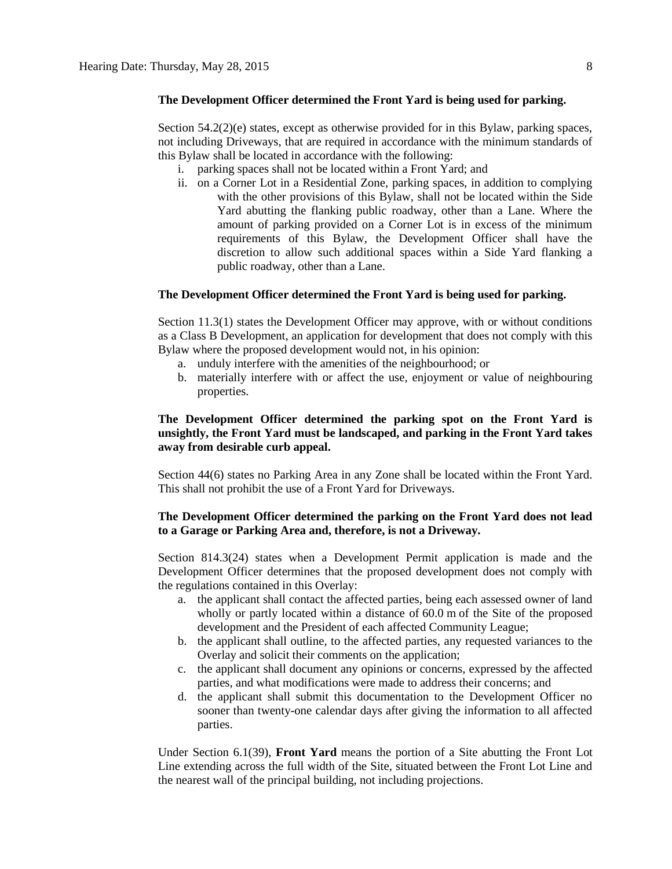#### **The Development Officer determined the Front Yard is being used for parking.**

Section 54.2(2)(e) states, except as otherwise provided for in this Bylaw, parking spaces, not including Driveways, that are required in accordance with the minimum standards of this Bylaw shall be located in accordance with the following:

- i. parking spaces shall not be located within a Front Yard; and
- ii. on a Corner Lot in a Residential Zone, parking spaces, in addition to complying with the other provisions of this Bylaw, shall not be located within the Side Yard abutting the flanking public roadway, other than a Lane. Where the amount of parking provided on a Corner Lot is in excess of the minimum requirements of this Bylaw, the Development Officer shall have the discretion to allow such additional spaces within a Side Yard flanking a public roadway, other than a Lane.

#### **The Development Officer determined the Front Yard is being used for parking.**

Section 11.3(1) states the Development Officer may approve, with or without conditions as a Class B Development, an application for development that does not comply with this Bylaw where the proposed development would not, in his opinion:

- a. unduly interfere with the amenities of the neighbourhood; or
- b. materially interfere with or affect the use, enjoyment or value of neighbouring properties.

#### **The Development Officer determined the parking spot on the Front Yard is unsightly, the Front Yard must be landscaped, and parking in the Front Yard takes away from desirable curb appeal.**

Section 44(6) states no Parking Area in any Zone shall be located within the Front Yard. This shall not prohibit the use of a Front Yard for Driveways.

#### **The Development Officer determined the parking on the Front Yard does not lead to a Garage or Parking Area and, therefore, is not a Driveway.**

Section 814.3(24) states when a Development Permit application is made and the Development Officer determines that the proposed development does not comply with the regulations contained in this Overlay:

- a. the applicant shall contact the affected parties, being each assessed owner of land wholly or partly located within a distance of [60.0](javascript:void(0);) m of the Site of the proposed development and the President of each affected Community League;
- b. the applicant shall outline, to the affected parties, any requested variances to the Overlay and solicit their comments on the application;
- c. the applicant shall document any opinions or concerns, expressed by the affected parties, and what modifications were made to address their concerns; and
- d. the applicant shall submit this documentation to the Development Officer no sooner than twenty-one calendar days after giving the information to all affected parties.

Under Section 6.1(39), **Front Yard** means the portion of a Site abutting the Front Lot Line extending across the full width of the Site, situated between the Front Lot Line and the nearest wall of the principal building, not including projections.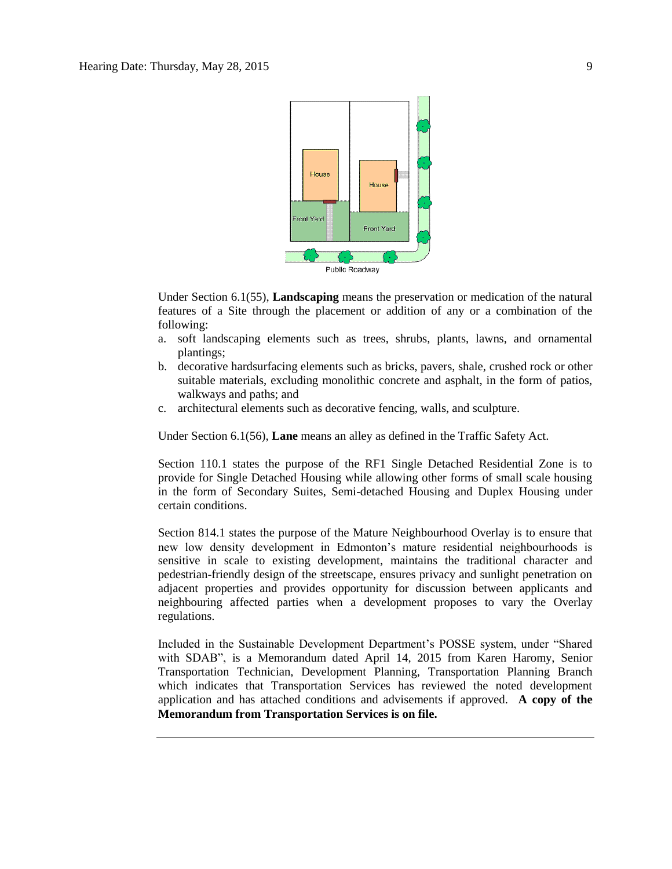

Under Section 6.1(55), **Landscaping** means the preservation or medication of the natural features of a Site through the placement or addition of any or a combination of the following:

- a. soft landscaping elements such as trees, shrubs, plants, lawns, and ornamental plantings;
- b. decorative hardsurfacing elements such as bricks, pavers, shale, crushed rock or other suitable materials, excluding monolithic concrete and asphalt, in the form of patios, walkways and paths; and
- c. architectural elements such as decorative fencing, walls, and sculpture.

Under Section 6.1(56), **Lane** means an alley as defined in the Traffic Safety Act.

Section 110.1 states the purpose of the RF1 Single Detached Residential Zone is to provide for Single Detached Housing while allowing other forms of small scale housing in the form of Secondary Suites, Semi-detached Housing and Duplex Housing under certain conditions.

Section 814.1 states the purpose of the Mature Neighbourhood Overlay is to ensure that new low density development in Edmonton's mature residential neighbourhoods is sensitive in scale to existing development, maintains the traditional character and pedestrian-friendly design of the streetscape, ensures privacy and sunlight penetration on adjacent properties and provides opportunity for discussion between applicants and neighbouring affected parties when a development proposes to vary the Overlay regulations.

Included in the Sustainable Development Department's POSSE system, under "Shared with SDAB", is a Memorandum dated April 14, 2015 from Karen Haromy, Senior Transportation Technician, Development Planning, Transportation Planning Branch which indicates that Transportation Services has reviewed the noted development application and has attached conditions and advisements if approved. **A copy of the Memorandum from Transportation Services is on file.**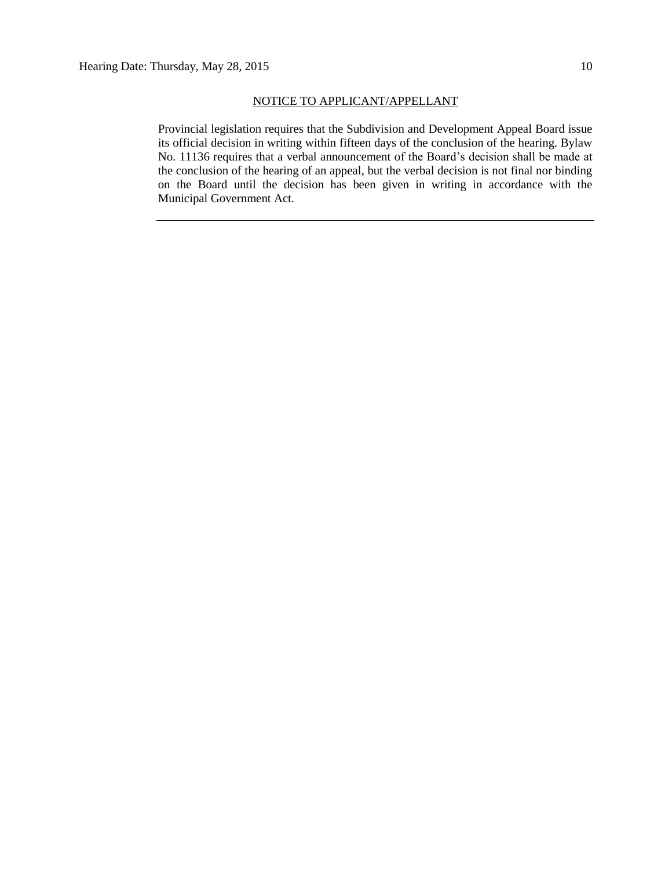#### NOTICE TO APPLICANT/APPELLANT

Provincial legislation requires that the Subdivision and Development Appeal Board issue its official decision in writing within fifteen days of the conclusion of the hearing. Bylaw No. 11136 requires that a verbal announcement of the Board's decision shall be made at the conclusion of the hearing of an appeal, but the verbal decision is not final nor binding on the Board until the decision has been given in writing in accordance with the Municipal Government Act.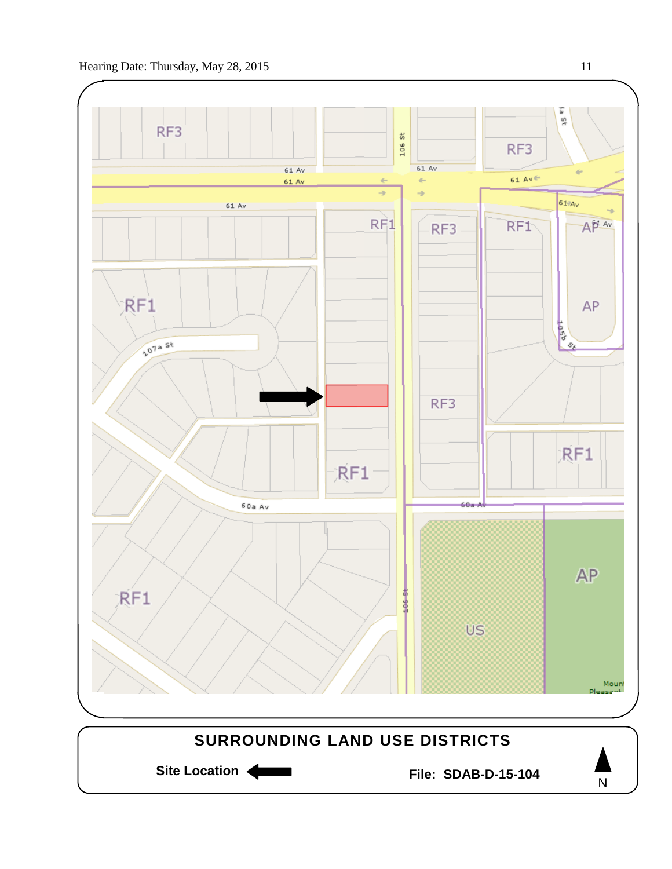

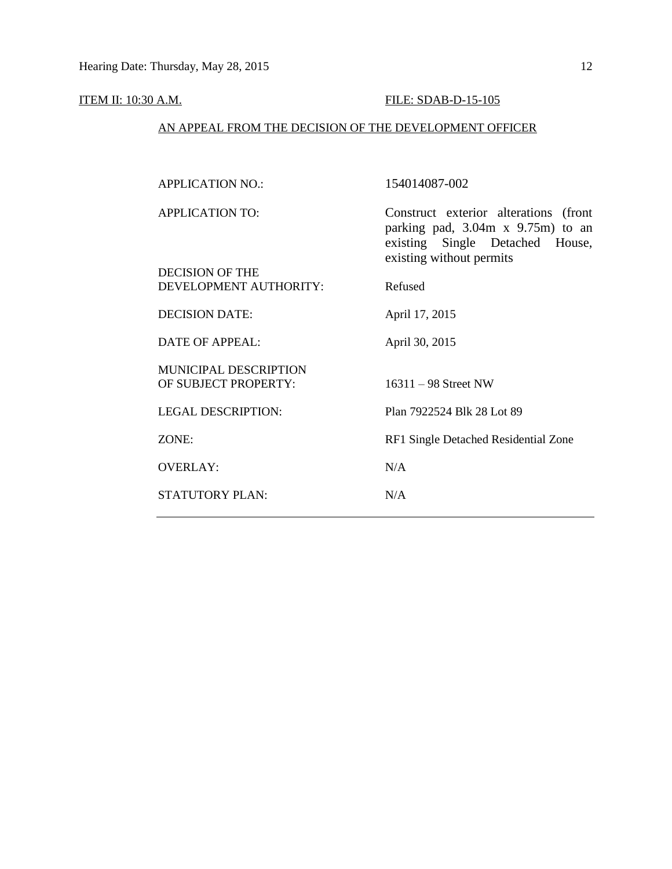## **ITEM II: 10:30 A.M. FILE: SDAB-D-15-105**

## AN APPEAL FROM THE DECISION OF THE DEVELOPMENT OFFICER

| <b>APPLICATION NO.:</b>                              | 154014087-002                                                                                                                                   |
|------------------------------------------------------|-------------------------------------------------------------------------------------------------------------------------------------------------|
| <b>APPLICATION TO:</b><br><b>DECISION OF THE</b>     | Construct exterior alterations (front<br>parking pad, $3.04m \times 9.75m$ to an<br>existing Single Detached House,<br>existing without permits |
| DEVELOPMENT AUTHORITY:                               | Refused                                                                                                                                         |
| <b>DECISION DATE:</b>                                | April 17, 2015                                                                                                                                  |
| <b>DATE OF APPEAL:</b>                               | April 30, 2015                                                                                                                                  |
| <b>MUNICIPAL DESCRIPTION</b><br>OF SUBJECT PROPERTY: | $16311 - 98$ Street NW                                                                                                                          |
| <b>LEGAL DESCRIPTION:</b>                            | Plan 7922524 Blk 28 Lot 89                                                                                                                      |
| ZONE:                                                | RF1 Single Detached Residential Zone                                                                                                            |
| <b>OVERLAY:</b>                                      | N/A                                                                                                                                             |
| STATUTORY PLAN:                                      | N/A                                                                                                                                             |
|                                                      |                                                                                                                                                 |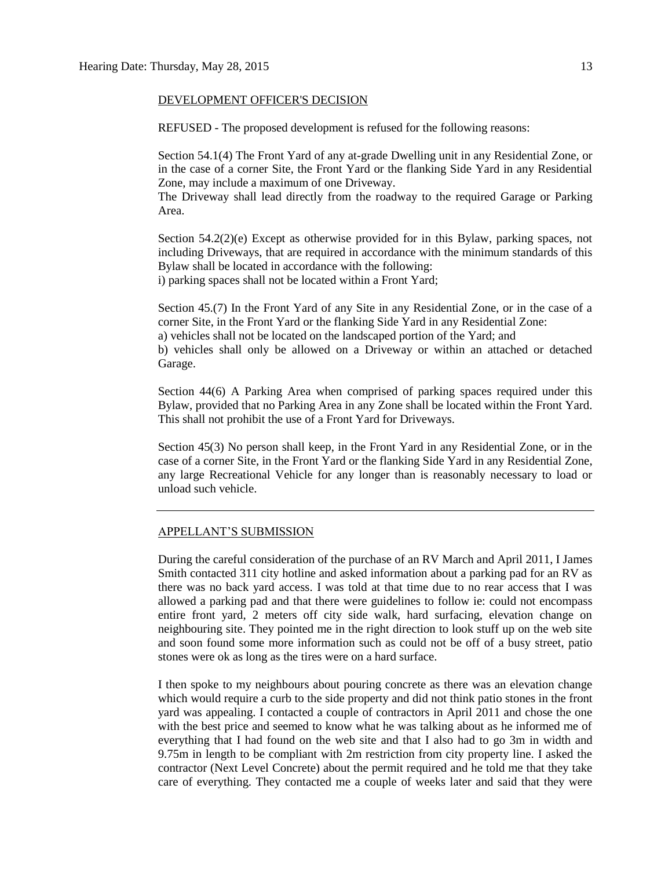#### DEVELOPMENT OFFICER'S DECISION

REFUSED - The proposed development is refused for the following reasons:

Section 54.1(4) The Front Yard of any at-grade Dwelling unit in any Residential Zone, or in the case of a corner Site, the Front Yard or the flanking Side Yard in any Residential Zone, may include a maximum of one Driveway.

The Driveway shall lead directly from the roadway to the required Garage or Parking Area.

Section 54.2(2)(e) Except as otherwise provided for in this Bylaw, parking spaces, not including Driveways, that are required in accordance with the minimum standards of this Bylaw shall be located in accordance with the following: i) parking spaces shall not be located within a Front Yard;

Section 45.(7) In the Front Yard of any Site in any Residential Zone, or in the case of a corner Site, in the Front Yard or the flanking Side Yard in any Residential Zone: a) vehicles shall not be located on the landscaped portion of the Yard; and

b) vehicles shall only be allowed on a Driveway or within an attached or detached Garage.

Section 44(6) A Parking Area when comprised of parking spaces required under this Bylaw, provided that no Parking Area in any Zone shall be located within the Front Yard. This shall not prohibit the use of a Front Yard for Driveways.

Section 45(3) No person shall keep, in the Front Yard in any Residential Zone, or in the case of a corner Site, in the Front Yard or the flanking Side Yard in any Residential Zone, any large Recreational Vehicle for any longer than is reasonably necessary to load or unload such vehicle.

#### APPELLANT'S SUBMISSION

During the careful consideration of the purchase of an RV March and April 2011, I James Smith contacted 311 city hotline and asked information about a parking pad for an RV as there was no back yard access. I was told at that time due to no rear access that I was allowed a parking pad and that there were guidelines to follow ie: could not encompass entire front yard, 2 meters off city side walk, hard surfacing, elevation change on neighbouring site. They pointed me in the right direction to look stuff up on the web site and soon found some more information such as could not be off of a busy street, patio stones were ok as long as the tires were on a hard surface.

I then spoke to my neighbours about pouring concrete as there was an elevation change which would require a curb to the side property and did not think patio stones in the front yard was appealing. I contacted a couple of contractors in April 2011 and chose the one with the best price and seemed to know what he was talking about as he informed me of everything that I had found on the web site and that I also had to go 3m in width and 9.75m in length to be compliant with 2m restriction from city property line. I asked the contractor (Next Level Concrete) about the permit required and he told me that they take care of everything. They contacted me a couple of weeks later and said that they were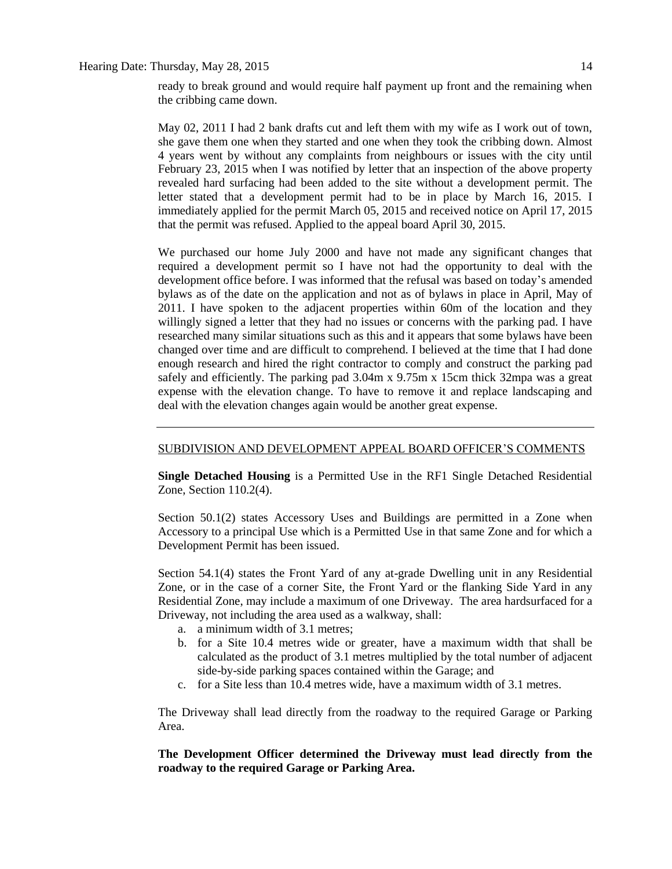ready to break ground and would require half payment up front and the remaining when the cribbing came down.

May 02, 2011 I had 2 bank drafts cut and left them with my wife as I work out of town, she gave them one when they started and one when they took the cribbing down. Almost 4 years went by without any complaints from neighbours or issues with the city until February 23, 2015 when I was notified by letter that an inspection of the above property revealed hard surfacing had been added to the site without a development permit. The letter stated that a development permit had to be in place by March 16, 2015. I immediately applied for the permit March 05, 2015 and received notice on April 17, 2015 that the permit was refused. Applied to the appeal board April 30, 2015.

We purchased our home July 2000 and have not made any significant changes that required a development permit so I have not had the opportunity to deal with the development office before. I was informed that the refusal was based on today's amended bylaws as of the date on the application and not as of bylaws in place in April, May of 2011. I have spoken to the adjacent properties within 60m of the location and they willingly signed a letter that they had no issues or concerns with the parking pad. I have researched many similar situations such as this and it appears that some bylaws have been changed over time and are difficult to comprehend. I believed at the time that I had done enough research and hired the right contractor to comply and construct the parking pad safely and efficiently. The parking pad 3.04m x 9.75m x 15cm thick 32mpa was a great expense with the elevation change. To have to remove it and replace landscaping and deal with the elevation changes again would be another great expense.

#### SUBDIVISION AND DEVELOPMENT APPEAL BOARD OFFICER'S COMMENTS

**Single Detached Housing** is a Permitted Use in the RF1 Single Detached Residential Zone, Section 110.2(4).

Section 50.1(2) states Accessory Uses and Buildings are permitted in a Zone when Accessory to a principal Use which is a Permitted Use in that same Zone and for which a Development Permit has been issued.

Section 54.1(4) states the Front Yard of any at-grade Dwelling unit in any Residential Zone, or in the case of a corner Site, the Front Yard or the flanking Side Yard in any Residential Zone, may include a maximum of one Driveway. The area hardsurfaced for a Driveway, not including the area used as a walkway, shall:

- a. a minimum width of 3.1 metres;
- b. for a Site 10.4 metres wide or greater, have a maximum width that shall be calculated as the product of 3.1 metres multiplied by the total number of adjacent side-by-side parking spaces contained within the Garage; and
- c. for a Site less than 10.4 metres wide, have a maximum width of 3.1 metres.

The Driveway shall lead directly from the roadway to the required Garage or Parking Area.

**The Development Officer determined the Driveway must lead directly from the roadway to the required Garage or Parking Area.**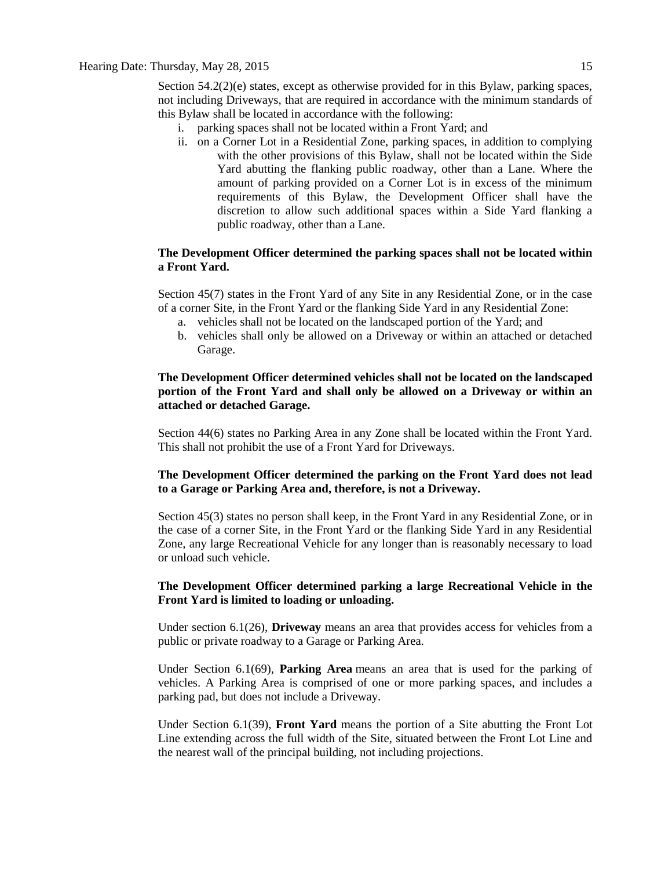Section 54.2(2)(e) states, except as otherwise provided for in this Bylaw, parking spaces, not including Driveways, that are required in accordance with the minimum standards of this Bylaw shall be located in accordance with the following:

- i. parking spaces shall not be located within a Front Yard; and
- ii. on a Corner Lot in a Residential Zone, parking spaces, in addition to complying with the other provisions of this Bylaw, shall not be located within the Side Yard abutting the flanking public roadway, other than a Lane. Where the amount of parking provided on a Corner Lot is in excess of the minimum requirements of this Bylaw, the Development Officer shall have the discretion to allow such additional spaces within a Side Yard flanking a public roadway, other than a Lane.

#### **The Development Officer determined the parking spaces shall not be located within a Front Yard.**

Section 45(7) states in the Front Yard of any Site in any Residential Zone, or in the case of a corner Site, in the Front Yard or the flanking Side Yard in any Residential Zone:

- a. vehicles shall not be located on the landscaped portion of the Yard; and
- b. vehicles shall only be allowed on a Driveway or within an attached or detached Garage.

#### **The Development Officer determined vehicles shall not be located on the landscaped portion of the Front Yard and shall only be allowed on a Driveway or within an attached or detached Garage.**

Section 44(6) states no Parking Area in any Zone shall be located within the Front Yard. This shall not prohibit the use of a Front Yard for Driveways.

#### **The Development Officer determined the parking on the Front Yard does not lead to a Garage or Parking Area and, therefore, is not a Driveway.**

Section 45(3) states no person shall keep, in the Front Yard in any Residential Zone, or in the case of a corner Site, in the Front Yard or the flanking Side Yard in any Residential Zone, any large Recreational Vehicle for any longer than is reasonably necessary to load or unload such vehicle.

#### **The Development Officer determined parking a large Recreational Vehicle in the Front Yard is limited to loading or unloading.**

Under section 6.1(26), **Driveway** means an area that provides access for vehicles from a public or private roadway to a Garage or Parking Area.

Under Section 6.1(69), **Parking Area** means an area that is used for the parking of vehicles. A Parking Area is comprised of one or more parking spaces, and includes a parking pad, but does not include a Driveway.

Under Section 6.1(39), **Front Yard** means the portion of a Site abutting the Front Lot Line extending across the full width of the Site, situated between the Front Lot Line and the nearest wall of the principal building, not including projections.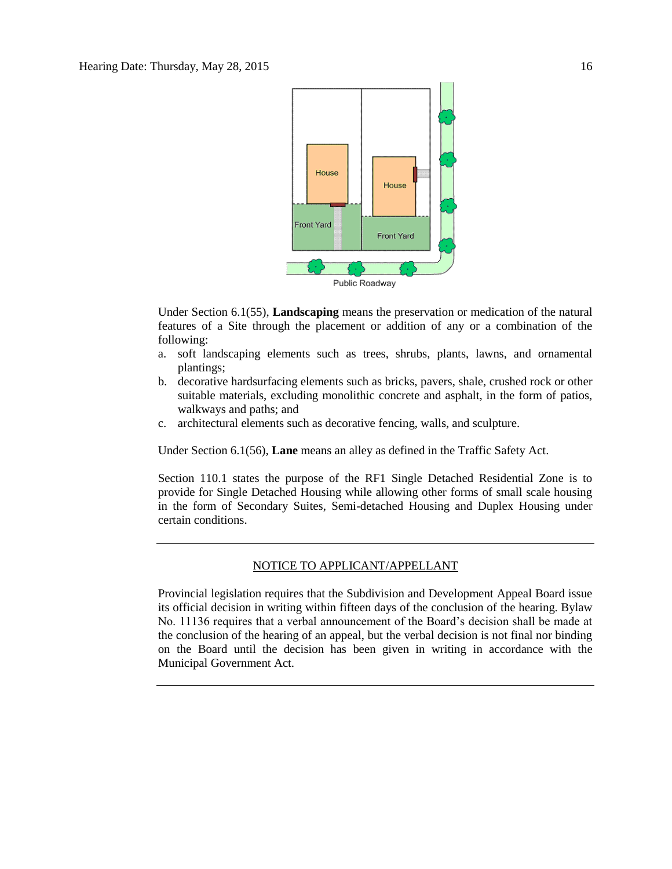

Under Section 6.1(55), **Landscaping** means the preservation or medication of the natural features of a Site through the placement or addition of any or a combination of the following:

- a. soft landscaping elements such as trees, shrubs, plants, lawns, and ornamental plantings;
- b. decorative hardsurfacing elements such as bricks, pavers, shale, crushed rock or other suitable materials, excluding monolithic concrete and asphalt, in the form of patios, walkways and paths; and
- c. architectural elements such as decorative fencing, walls, and sculpture.

Under Section 6.1(56), **Lane** means an alley as defined in the Traffic Safety Act.

Section 110.1 states the purpose of the RF1 Single Detached Residential Zone is to provide for Single Detached Housing while allowing other forms of small scale housing in the form of Secondary Suites, Semi-detached Housing and Duplex Housing under certain conditions.

#### NOTICE TO APPLICANT/APPELLANT

Provincial legislation requires that the Subdivision and Development Appeal Board issue its official decision in writing within fifteen days of the conclusion of the hearing. Bylaw No. 11136 requires that a verbal announcement of the Board's decision shall be made at the conclusion of the hearing of an appeal, but the verbal decision is not final nor binding on the Board until the decision has been given in writing in accordance with the Municipal Government Act.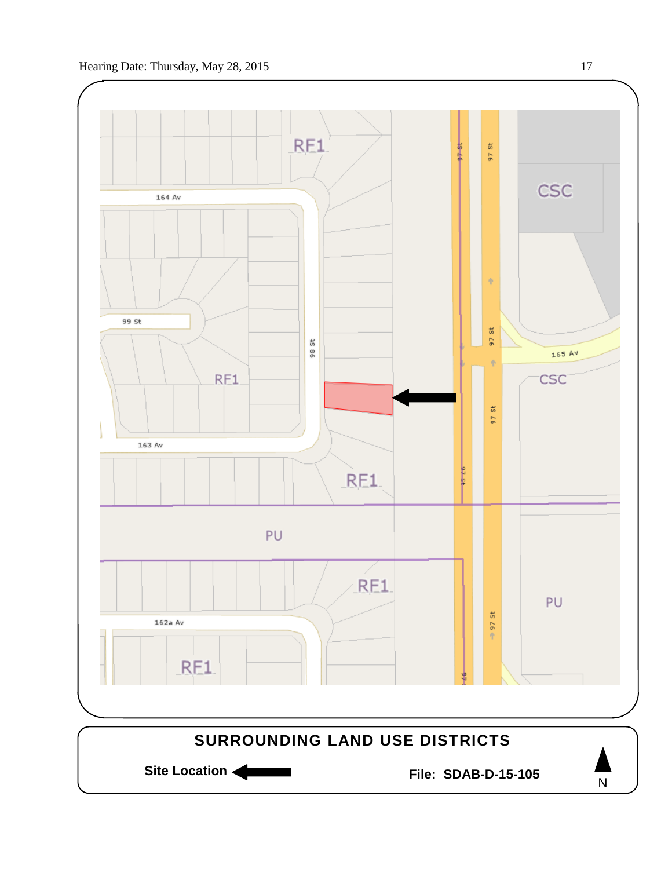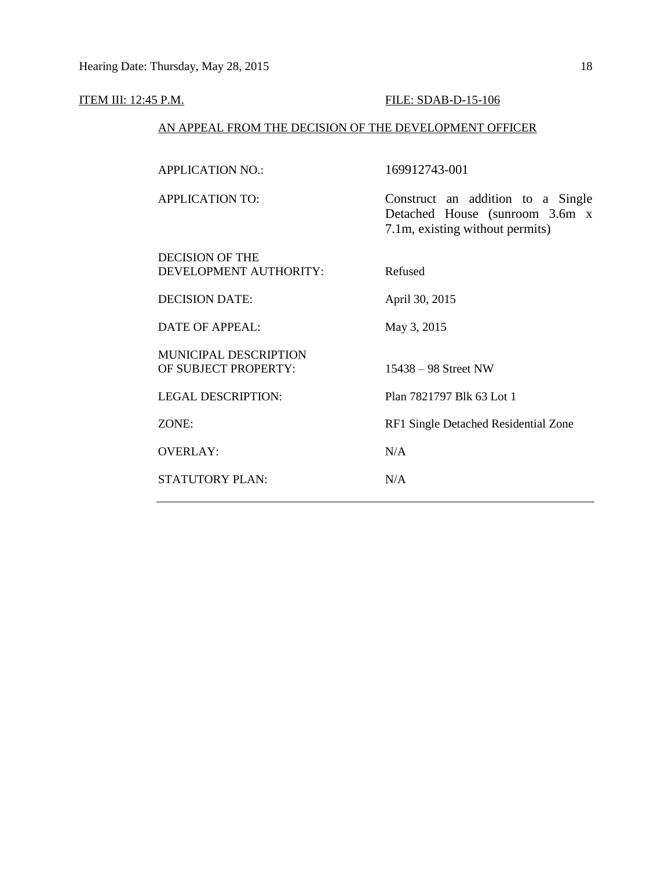## ITEM III: 12:45 P.M. FILE: SDAB-D-15-106

### AN APPEAL FROM THE DECISION OF THE DEVELOPMENT OFFICER

| <b>APPLICATION NO.:</b>                              | 169912743-001                                                                                          |
|------------------------------------------------------|--------------------------------------------------------------------------------------------------------|
| <b>APPLICATION TO:</b>                               | Construct an addition to a Single<br>Detached House (sunroom 3.6m x<br>7.1m, existing without permits) |
| DECISION OF THE<br>DEVELOPMENT AUTHORITY:            | Refused                                                                                                |
| <b>DECISION DATE:</b>                                | April 30, 2015                                                                                         |
| <b>DATE OF APPEAL:</b>                               | May 3, 2015                                                                                            |
| <b>MUNICIPAL DESCRIPTION</b><br>OF SUBJECT PROPERTY: | $15438 - 98$ Street NW                                                                                 |
| <b>LEGAL DESCRIPTION:</b>                            | Plan 7821797 Blk 63 Lot 1                                                                              |
| ZONE:                                                | RF1 Single Detached Residential Zone                                                                   |
| <b>OVERLAY:</b>                                      | N/A                                                                                                    |
| <b>STATUTORY PLAN:</b>                               | N/A                                                                                                    |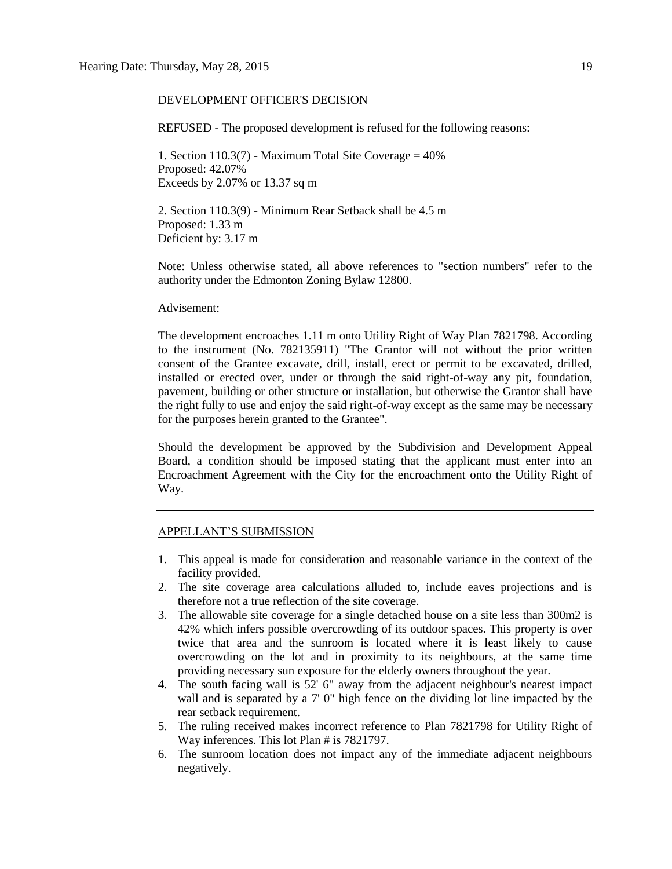#### DEVELOPMENT OFFICER'S DECISION

REFUSED - The proposed development is refused for the following reasons:

1. Section 110.3(7) - Maximum Total Site Coverage  $= 40\%$ Proposed: 42.07% Exceeds by 2.07% or 13.37 sq m

2. Section 110.3(9) - Minimum Rear Setback shall be 4.5 m Proposed: 1.33 m Deficient by: 3.17 m

Note: Unless otherwise stated, all above references to "section numbers" refer to the authority under the Edmonton Zoning Bylaw 12800.

#### Advisement:

The development encroaches 1.11 m onto Utility Right of Way Plan 7821798. According to the instrument (No. 782135911) "The Grantor will not without the prior written consent of the Grantee excavate, drill, install, erect or permit to be excavated, drilled, installed or erected over, under or through the said right-of-way any pit, foundation, pavement, building or other structure or installation, but otherwise the Grantor shall have the right fully to use and enjoy the said right-of-way except as the same may be necessary for the purposes herein granted to the Grantee".

Should the development be approved by the Subdivision and Development Appeal Board, a condition should be imposed stating that the applicant must enter into an Encroachment Agreement with the City for the encroachment onto the Utility Right of Way.

#### APPELLANT'S SUBMISSION

- 1. This appeal is made for consideration and reasonable variance in the context of the facility provided.
- 2. The site coverage area calculations alluded to, include eaves projections and is therefore not a true reflection of the site coverage.
- 3. The allowable site coverage for a single detached house on a site less than 300m2 is 42% which infers possible overcrowding of its outdoor spaces. This property is over twice that area and the sunroom is located where it is least likely to cause overcrowding on the lot and in proximity to its neighbours, at the same time providing necessary sun exposure for the elderly owners throughout the year.
- 4. The south facing wall is 52' 6" away from the adjacent neighbour's nearest impact wall and is separated by a 7' 0" high fence on the dividing lot line impacted by the rear setback requirement.
- 5. The ruling received makes incorrect reference to Plan 7821798 for Utility Right of Way inferences. This lot Plan # is 7821797.
- 6. The sunroom location does not impact any of the immediate adjacent neighbours negatively.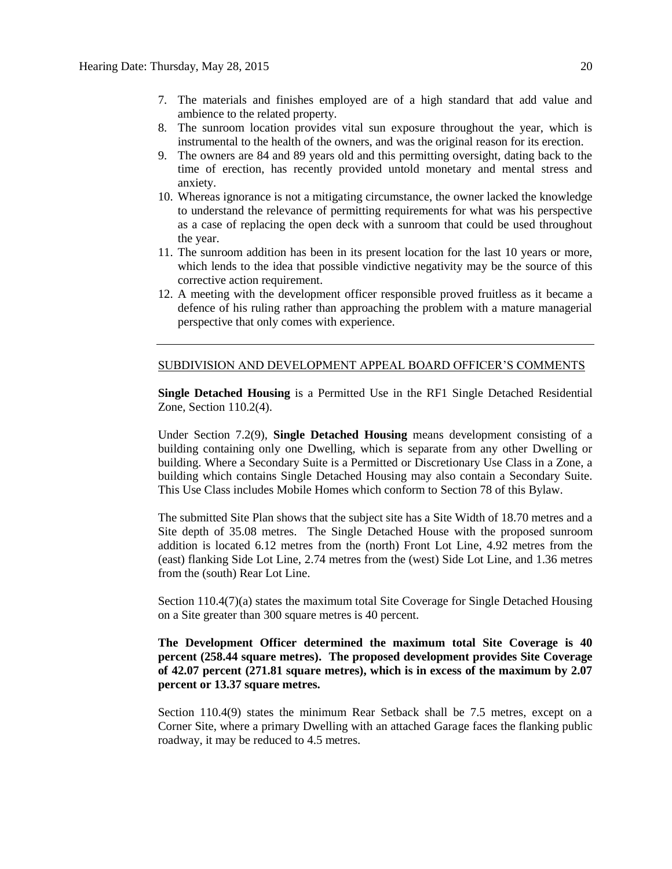- 7. The materials and finishes employed are of a high standard that add value and ambience to the related property.
- 8. The sunroom location provides vital sun exposure throughout the year, which is instrumental to the health of the owners, and was the original reason for its erection.
- 9. The owners are 84 and 89 years old and this permitting oversight, dating back to the time of erection, has recently provided untold monetary and mental stress and anxiety.
- 10. Whereas ignorance is not a mitigating circumstance, the owner lacked the knowledge to understand the relevance of permitting requirements for what was his perspective as a case of replacing the open deck with a sunroom that could be used throughout the year.
- 11. The sunroom addition has been in its present location for the last 10 years or more, which lends to the idea that possible vindictive negativity may be the source of this corrective action requirement.
- 12. A meeting with the development officer responsible proved fruitless as it became a defence of his ruling rather than approaching the problem with a mature managerial perspective that only comes with experience.

#### SUBDIVISION AND DEVELOPMENT APPEAL BOARD OFFICER'S COMMENTS

**Single Detached Housing** is a Permitted Use in the RF1 Single Detached Residential Zone, Section 110.2(4).

Under Section 7.2(9), **Single Detached Housing** means development consisting of a building containing only one Dwelling, which is separate from any other Dwelling or building. Where a Secondary Suite is a Permitted or Discretionary Use Class in a Zone, a building which contains Single Detached Housing may also contain a Secondary Suite. This Use Class includes Mobile Homes which conform to [Section 78](http://webdocs.edmonton.ca/InfraPlan/zoningbylaw/ZoningBylaw/Part1/Special_Land/78__Mobile_Homes.htm) of this Bylaw.

The submitted Site Plan shows that the subject site has a Site Width of 18.70 metres and a Site depth of 35.08 metres. The Single Detached House with the proposed sunroom addition is located 6.12 metres from the (north) Front Lot Line, 4.92 metres from the (east) flanking Side Lot Line, 2.74 metres from the (west) Side Lot Line, and 1.36 metres from the (south) Rear Lot Line.

Section 110.4(7)(a) states the maximum total Site Coverage for Single Detached Housing on a Site greater than 300 square metres is 40 percent.

### **The Development Officer determined the maximum total Site Coverage is 40 percent (258.44 square metres). The proposed development provides Site Coverage of 42.07 percent (271.81 square metres), which is in excess of the maximum by 2.07 percent or 13.37 square metres.**

Section 110.4(9) states the minimum Rear Setback shall be 7.5 metres, except on a Corner Site, where a primary Dwelling with an attached Garage faces the flanking public roadway, it may be reduced to 4.5 metres.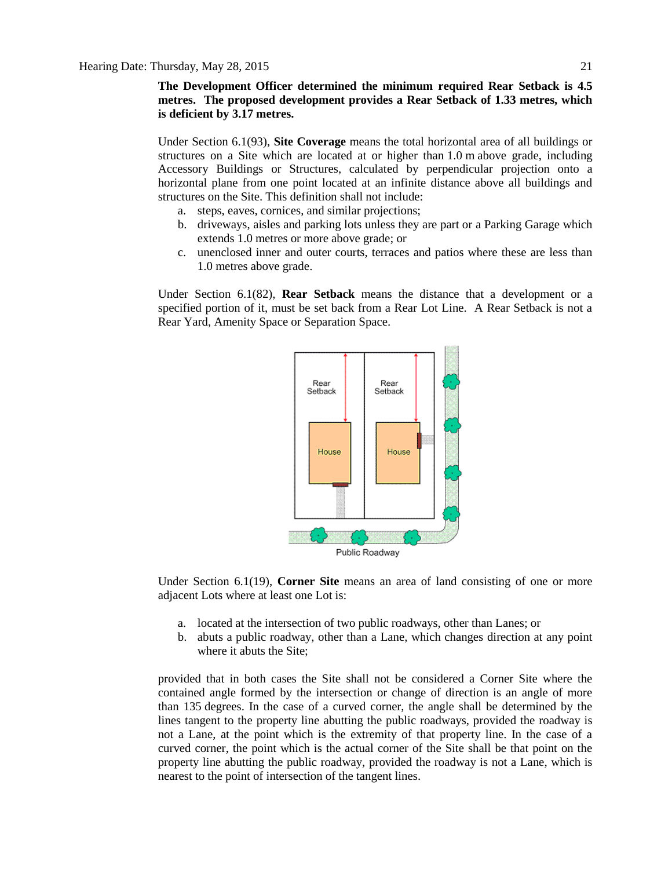**The Development Officer determined the minimum required Rear Setback is 4.5 metres. The proposed development provides a Rear Setback of 1.33 metres, which is deficient by 3.17 metres.**

Under Section 6.1(93), **Site Coverage** means the total horizontal area of all buildings or structures on a Site which are located at or higher than [1.0](javascript:void(0);) m above grade, including Accessory Buildings or Structures, calculated by perpendicular projection onto a horizontal plane from one point located at an infinite distance above all buildings and structures on the Site. This definition shall not include:

- a. steps, eaves, cornices, and similar projections;
- b. driveways, aisles and parking lots unless they are part or a Parking Garage which extends 1.0 metres or more above grade; or
- c. unenclosed inner and outer courts, terraces and patios where these are less than 1.0 metres above grade.

Under Section 6.1(82), **Rear Setback** means the distance that a development or a specified portion of it, must be set back from a Rear Lot Line. A Rear Setback is not a Rear Yard, Amenity Space or Separation Space.



Under Section 6.1(19), **Corner Site** means an area of land consisting of one or more adjacent Lots where at least one Lot is:

- a. located at the intersection of two public roadways, other than Lanes; or
- b. abuts a public roadway, other than a Lane, which changes direction at any point where it abuts the Site;

provided that in both cases the Site shall not be considered a Corner Site where the contained angle formed by the intersection or change of direction is an angle of more than 135 degrees. In the case of a curved corner, the angle shall be determined by the lines tangent to the property line abutting the public roadways, provided the roadway is not a Lane, at the point which is the extremity of that property line. In the case of a curved corner, the point which is the actual corner of the Site shall be that point on the property line abutting the public roadway, provided the roadway is not a Lane, which is nearest to the point of intersection of the tangent lines.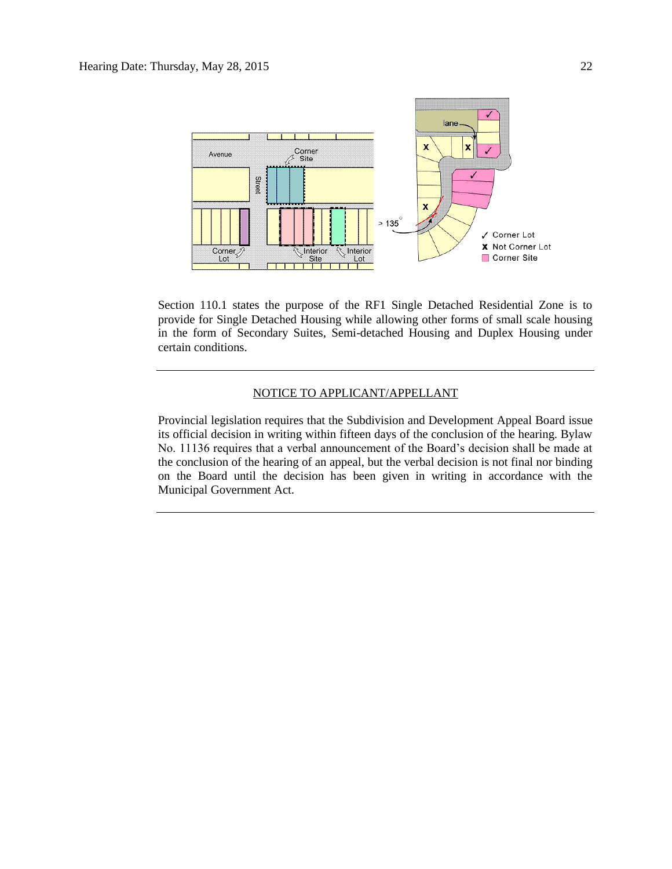

Section 110.1 states the purpose of the RF1 Single Detached Residential Zone is to provide for Single Detached Housing while allowing other forms of small scale housing in the form of Secondary Suites, Semi-detached Housing and Duplex Housing under certain conditions.

### NOTICE TO APPLICANT/APPELLANT

Provincial legislation requires that the Subdivision and Development Appeal Board issue its official decision in writing within fifteen days of the conclusion of the hearing. Bylaw No. 11136 requires that a verbal announcement of the Board's decision shall be made at the conclusion of the hearing of an appeal, but the verbal decision is not final nor binding on the Board until the decision has been given in writing in accordance with the Municipal Government Act.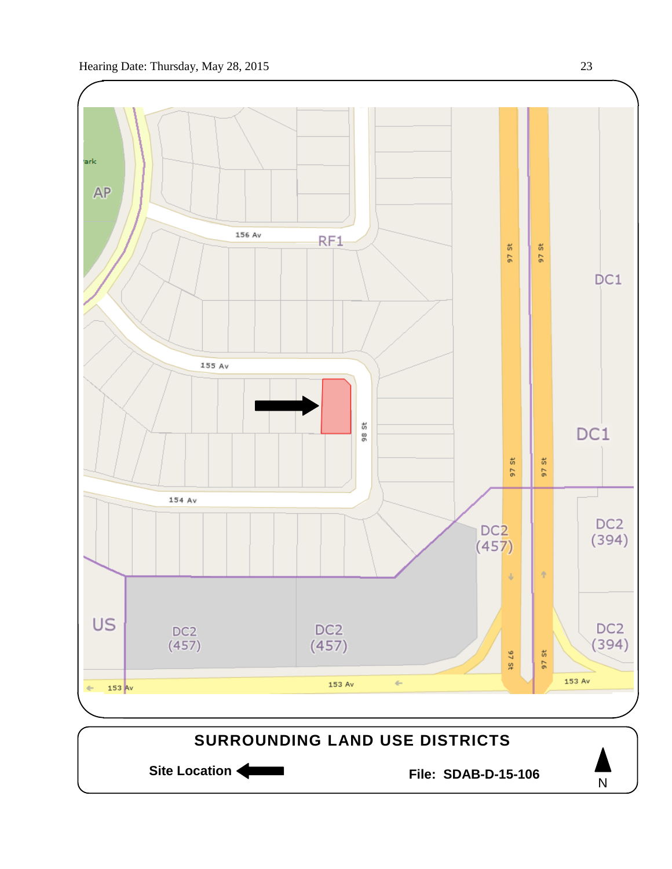